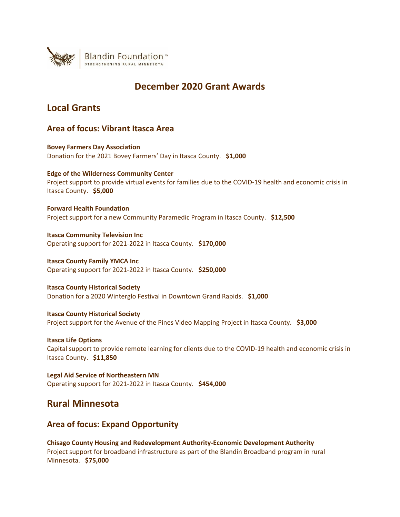

## **December 2020 Grant Awards**

## **Local Grants**

### **Area of focus: Vibrant Itasca Area**

**Bovey Farmers Day Association** Donation for the 2021 Bovey Farmers' Day in Itasca County. **\$1,000**

**Edge of the Wilderness Community Center** Project support to provide virtual events for families due to the COVID-19 health and economic crisis in Itasca County. **\$5,000**

**Forward Health Foundation** Project support for a new Community Paramedic Program in Itasca County. **\$12,500**

**Itasca Community Television Inc** Operating support for 2021-2022 in Itasca County. **\$170,000**

**Itasca County Family YMCA Inc** Operating support for 2021-2022 in Itasca County. **\$250,000**

**Itasca County Historical Society** Donation for a 2020 Winterglo Festival in Downtown Grand Rapids. **\$1,000**

**Itasca County Historical Society** Project support for the Avenue of the Pines Video Mapping Project in Itasca County. **\$3,000**

**Itasca Life Options** Capital support to provide remote learning for clients due to the COVID-19 health and economic crisis in Itasca County. **\$11,850**

**Legal Aid Service of Northeastern MN** Operating support for 2021-2022 in Itasca County. **\$454,000**

### **Rural Minnesota**

### **Area of focus: Expand Opportunity**

**Chisago County Housing and Redevelopment Authority-Economic Development Authority** Project support for broadband infrastructure as part of the Blandin Broadband program in rural Minnesota. **\$75,000**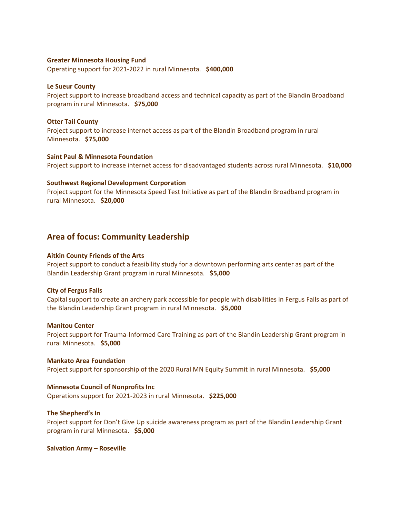#### **Greater Minnesota Housing Fund**

Operating support for 2021-2022 in rural Minnesota. **\$400,000**

#### **Le Sueur County**

Project support to increase broadband access and technical capacity as part of the Blandin Broadband program in rural Minnesota. **\$75,000**

#### **Otter Tail County**

Project support to increase internet access as part of the Blandin Broadband program in rural Minnesota. **\$75,000**

#### **Saint Paul & Minnesota Foundation**

Project support to increase internet access for disadvantaged students across rural Minnesota. **\$10,000**

#### **Southwest Regional Development Corporation**

Project support for the Minnesota Speed Test Initiative as part of the Blandin Broadband program in rural Minnesota. **\$20,000**

### **Area of focus: Community Leadership**

#### **Aitkin County Friends of the Arts**

Project support to conduct a feasibility study for a downtown performing arts center as part of the Blandin Leadership Grant program in rural Minnesota. **\$5,000**

#### **City of Fergus Falls**

Capital support to create an archery park accessible for people with disabilities in Fergus Falls as part of the Blandin Leadership Grant program in rural Minnesota. **\$5,000**

#### **Manitou Center**

Project support for Trauma-Informed Care Training as part of the Blandin Leadership Grant program in rural Minnesota. **\$5,000**

# **Mankato Area Foundation**

Project support for sponsorship of the 2020 Rural MN Equity Summit in rural Minnesota. **\$5,000**

#### **Minnesota Council of Nonprofits Inc**

Operations support for 2021-2023 in rural Minnesota. **\$225,000**

#### **The Shepherd's In**

Project support for Don't Give Up suicide awareness program as part of the Blandin Leadership Grant program in rural Minnesota. **\$5,000**

#### **Salvation Army – Roseville**